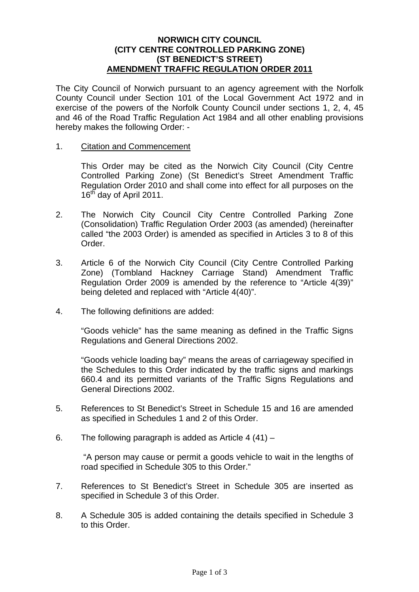#### **NORWICH CITY COUNCIL (CITY CENTRE CONTROLLED PARKING ZONE) (ST BENEDICT'S STREET) AMENDMENT TRAFFIC REGULATION ORDER 2011**

The City Council of Norwich pursuant to an agency agreement with the Norfolk County Council under Section 101 of the Local Government Act 1972 and in exercise of the powers of the Norfolk County Council under sections 1, 2, 4, 45 and 46 of the Road Traffic Regulation Act 1984 and all other enabling provisions hereby makes the following Order: -

1. Citation and Commencement

This Order may be cited as the Norwich City Council (City Centre Controlled Parking Zone) (St Benedict's Street Amendment Traffic Regulation Order 2010 and shall come into effect for all purposes on the 16<sup>th</sup> day of April 2011.

- 2. The Norwich City Council City Centre Controlled Parking Zone (Consolidation) Traffic Regulation Order 2003 (as amended) (hereinafter called "the 2003 Order) is amended as specified in Articles 3 to 8 of this Order.
- 3. Article 6 of the Norwich City Council (City Centre Controlled Parking Zone) (Tombland Hackney Carriage Stand) Amendment Traffic Regulation Order 2009 is amended by the reference to "Article 4(39)" being deleted and replaced with "Article 4(40)".
- 4. The following definitions are added:

"Goods vehicle" has the same meaning as defined in the Traffic Signs Regulations and General Directions 2002.

"Goods vehicle loading bay" means the areas of carriageway specified in the Schedules to this Order indicated by the traffic signs and markings 660.4 and its permitted variants of the Traffic Signs Regulations and General Directions 2002.

- 5. References to St Benedict's Street in Schedule 15 and 16 are amended as specified in Schedules 1 and 2 of this Order.
- 6. The following paragraph is added as Article 4 (41) –

 "A person may cause or permit a goods vehicle to wait in the lengths of road specified in Schedule 305 to this Order."

- 7. References to St Benedict's Street in Schedule 305 are inserted as specified in Schedule 3 of this Order.
- 8. A Schedule 305 is added containing the details specified in Schedule 3 to this Order.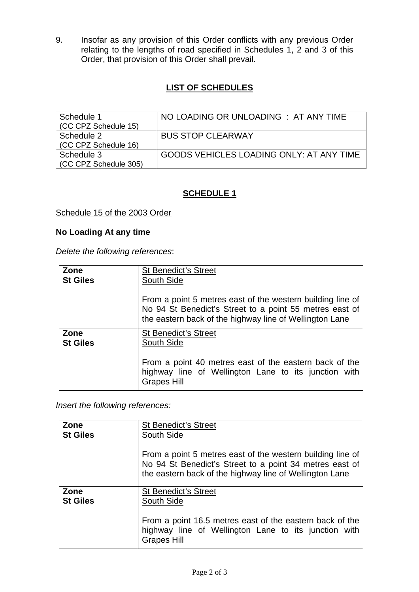9. Insofar as any provision of this Order conflicts with any previous Order relating to the lengths of road specified in Schedules 1, 2 and 3 of this Order, that provision of this Order shall prevail.

# **LIST OF SCHEDULES**

| Schedule 1<br>(CC CPZ Schedule 15) | NO LOADING OR UNLOADING : AT ANY TIME    |
|------------------------------------|------------------------------------------|
| Schedule 2<br>(CC CPZ Schedule 16) | <b>BUS STOP CLEARWAY</b>                 |
| Schedule 3<br>CC CPZ Schedule 305) | GOODS VEHICLES LOADING ONLY: AT ANY TIME |

# **SCHEDULE 1**

## Schedule 15 of the 2003 Order

#### **No Loading At any time**

*Delete the following references*:

| Zone                    | <b>St Benedict's Street</b>                                                                                                                                                      |  |  |  |  |
|-------------------------|----------------------------------------------------------------------------------------------------------------------------------------------------------------------------------|--|--|--|--|
| <b>St Giles</b>         | South Side                                                                                                                                                                       |  |  |  |  |
|                         | From a point 5 metres east of the western building line of<br>No 94 St Benedict's Street to a point 55 metres east of<br>the eastern back of the highway line of Wellington Lane |  |  |  |  |
| Zone<br><b>St Giles</b> | <b>St Benedict's Street</b><br>South Side                                                                                                                                        |  |  |  |  |
|                         | From a point 40 metres east of the eastern back of the<br>highway line of Wellington Lane to its junction with<br><b>Grapes Hill</b>                                             |  |  |  |  |

*Insert the following references:* 

| Zone            | <b>St Benedict's Street</b>                                                                                                                                                      |  |  |  |  |
|-----------------|----------------------------------------------------------------------------------------------------------------------------------------------------------------------------------|--|--|--|--|
| <b>St Giles</b> | South Side                                                                                                                                                                       |  |  |  |  |
|                 | From a point 5 metres east of the western building line of<br>No 94 St Benedict's Street to a point 34 metres east of<br>the eastern back of the highway line of Wellington Lane |  |  |  |  |
| Zone            | <b>St Benedict's Street</b>                                                                                                                                                      |  |  |  |  |
| <b>St Giles</b> | South Side                                                                                                                                                                       |  |  |  |  |
|                 | From a point 16.5 metres east of the eastern back of the<br>highway line of Wellington Lane to its junction with<br><b>Grapes Hill</b>                                           |  |  |  |  |